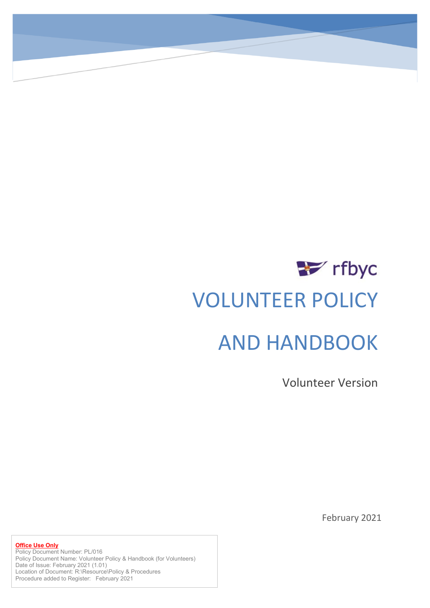# $\rightarrow$  rfbyc VOLUNTEER POLICY AND HANDBOOK

Volunteer Version

February 2021

**Office Use Only** Policy Document Number: PL/016 Policy Document Name: Volunteer Policy & Handbook (for Volunteers) Date of Issue: February 2021 (1.01) Location of Document: R:\Resource\Policy & Procedures Procedure added to Register: February 2021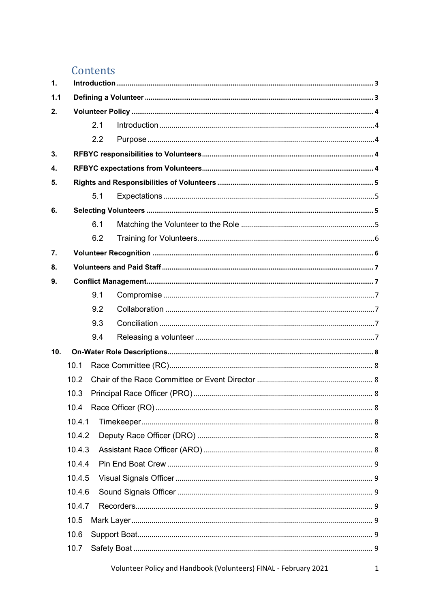# Contents

| $\mathbf{1}$ . |        |     |  |  |  |
|----------------|--------|-----|--|--|--|
| 1.1            |        |     |  |  |  |
| 2.             |        |     |  |  |  |
|                |        | 2.1 |  |  |  |
|                |        | 2.2 |  |  |  |
| 3.             |        |     |  |  |  |
| 4.             |        |     |  |  |  |
| 5.             |        |     |  |  |  |
|                |        | 5.1 |  |  |  |
| 6.             |        |     |  |  |  |
|                |        | 6.1 |  |  |  |
|                |        | 6.2 |  |  |  |
| 7.             |        |     |  |  |  |
| 8.             |        |     |  |  |  |
| 9.             |        |     |  |  |  |
|                |        | 9.1 |  |  |  |
|                |        | 9.2 |  |  |  |
|                |        | 9.3 |  |  |  |
|                |        | 9.4 |  |  |  |
| 10.            |        |     |  |  |  |
|                | 10.1   |     |  |  |  |
|                | 10.2   |     |  |  |  |
|                | 10.3   |     |  |  |  |
|                | 10.4   |     |  |  |  |
|                | 10.4.1 |     |  |  |  |
|                | 10.4.2 |     |  |  |  |
|                | 10.4.3 |     |  |  |  |
|                | 10.4.4 |     |  |  |  |
|                | 10.4.5 |     |  |  |  |
|                | 10.4.6 |     |  |  |  |
|                | 10.4.7 |     |  |  |  |
|                | 10.5   |     |  |  |  |
|                | 10.6   |     |  |  |  |
|                | 10.7   |     |  |  |  |
|                |        |     |  |  |  |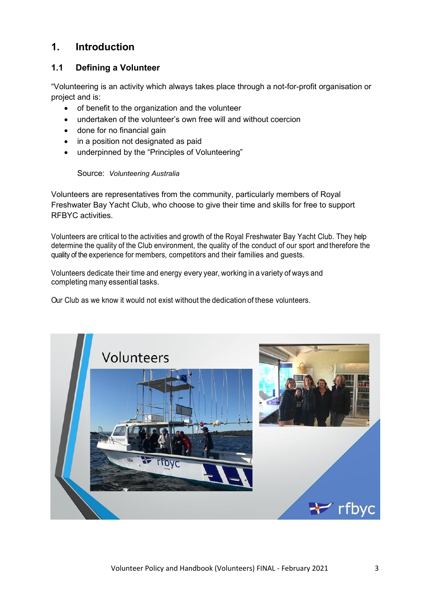# <span id="page-3-0"></span>**1. Introduction**

# <span id="page-3-1"></span>**1.1 Defining a Volunteer**

"Volunteering is an activity which always takes place through a not-for-profit organisation or project and is:

- of benefit to the organization and the volunteer
- undertaken of the volunteer's own free will and without coercion
- done for no financial gain
- in a position not designated as paid
- underpinned by the "Principles of Volunteering"

#### Source: *Volunteering Australia*

Volunteers are representatives from the community, particularly members of Royal Freshwater Bay Yacht Club, who choose to give their time and skills for free to support RFBYC activities.

Volunteers are critical to the activities and growth of the Royal Freshwater Bay Yacht Club. They help determine the quality of the Club environment, the quality of the conduct of our sport and therefore the quality of the experience for members, competitors and their families and guests.

Volunteers dedicate their time and energy every year, working in a variety of ways and completing many essential tasks.

Our Club as we know it would not exist without the dedication of these volunteers.

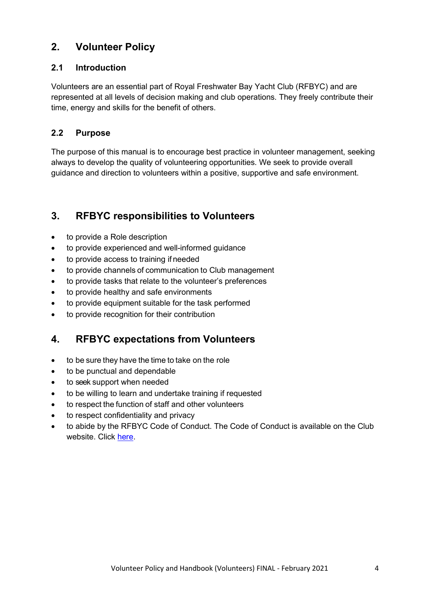# <span id="page-4-0"></span>**2. Volunteer Policy**

# <span id="page-4-1"></span>**2.1 Introduction**

Volunteers are an essential part of Royal Freshwater Bay Yacht Club (RFBYC) and are represented at all levels of decision making and club operations. They freely contribute their time, energy and skills for the benefit of others.

# <span id="page-4-2"></span>**2.2 Purpose**

The purpose of this manual is to encourage best practice in volunteer management, seeking always to develop the quality of volunteering opportunities. We seek to provide overall guidance and direction to volunteers within a positive, supportive and safe environment.

# <span id="page-4-3"></span>**3. RFBYC responsibilities to Volunteers**

- to provide a Role description
- to provide experienced and well-informed guidance
- to provide access to training if needed
- to provide channels of communication to Club management
- to provide tasks that relate to the volunteer's preferences
- to provide healthy and safe environments
- to provide equipment suitable for the task performed
- to provide recognition for their contribution

# <span id="page-4-4"></span>**4. RFBYC expectations from Volunteers**

- to be sure they have the time to take on the role
- to be punctual and dependable
- to seek support when needed
- to be willing to learn and undertake training if requested
- to respect the function of staff and other volunteers
- to respect confidentiality and privacy
- to abide by the RFBYC Code of Conduct. The Code of Conduct is available on the Club website. Click [here.](http://www.rfbyc.asn.au/perch/resources/files/1573638207-code-of-conduct-policy.pdf)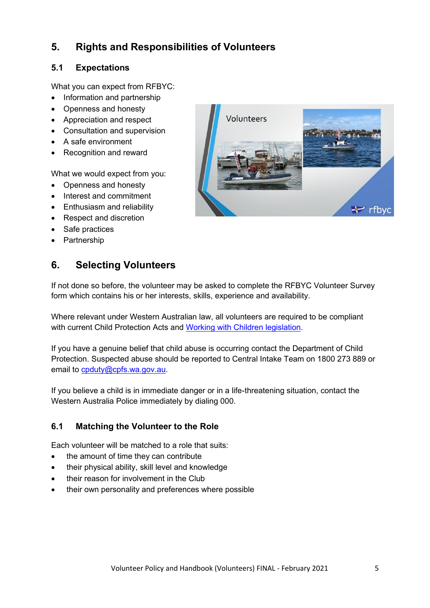# <span id="page-5-0"></span>**5. Rights and Responsibilities of Volunteers**

# <span id="page-5-1"></span>**5.1 Expectations**

What you can expect from RFBYC:

- Information and partnership
- Openness and honesty
- Appreciation and respect
- Consultation and supervision
- A safe environment
- Recognition and reward

What we would expect from you:

- Openness and honesty
- Interest and commitment
- Enthusiasm and reliability
- Respect and discretion
- Safe practices
- Partnership

# <span id="page-5-2"></span>**6. Selecting Volunteers**

If not done so before, the volunteer may be asked to complete the RFBYC Volunteer Survey form which contains his or her interests, skills, experience and availability.

Where relevant under Western Australian law, all volunteers are required to be compliant with current Child Protection Acts and [Working with Children legislation.](https://workingwithchildren.wa.gov.au/index)

If you have a genuine belief that child abuse is occurring contact the Department of Child Protection. Suspected abuse should be reported to Central Intake Team on 1800 273 889 or email to [cpduty@cpfs.wa.gov.au.](mailto:cpduty@cpfs.wa.gov.au)

If you believe a child is in immediate danger or in a life-threatening situation, contact the Western Australia Police immediately by dialing 000.

# <span id="page-5-3"></span>**6.1 Matching the Volunteer to the Role**

Each volunteer will be matched to a role that suits:

- the amount of time they can contribute
- their physical ability, skill level and knowledge
- their reason for involvement in the Club
- their own personality and preferences where possible

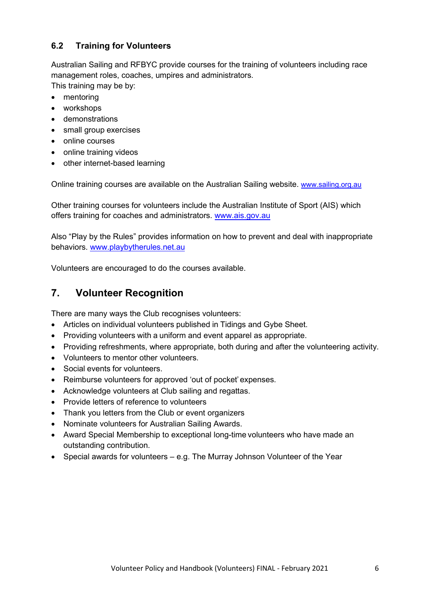# <span id="page-6-0"></span>**6.2 Training for Volunteers**

Australian Sailing and RFBYC provide courses for the training of volunteers including race management roles, coaches, umpires and administrators.

This training may be by:

- mentoring
- workshops
- demonstrations
- small group exercises
- online courses
- online training videos
- other internet-based learning

Online training courses are available on the Australian Sailing website. [www.sailing.org.au](https://royalfreshwater-my.sharepoint.com/personal/debbie_blaauw_rfbyc_asn_au/Documents/January%202021%20Action%20Items/www.sailing.org.au)

Other training courses for volunteers include the Australian Institute of Sport (AIS) which offers training for coaches and administrators. [www.ais.gov.au](https://www.ais.gov.au/people-development)

Also "Play by the Rules" provides information on how to prevent and deal with inappropriate behaviors. [www.playbytherules.net.au](https://royalfreshwater-my.sharepoint.com/personal/debbie_blaauw_rfbyc_asn_au/Documents/January%202021%20Action%20Items/www.playbytherules.net.au)

Volunteers are encouraged to do the courses available.

# <span id="page-6-1"></span>**7. Volunteer Recognition**

There are many ways the Club recognises volunteers:

- Articles on individual volunteers published in Tidings and Gybe Sheet.
- Providing volunteers with a uniform and event apparel as appropriate.
- Providing refreshments, where appropriate, both during and after the volunteering activity.
- Volunteers to mentor other volunteers.
- Social events for volunteers.
- Reimburse volunteers for approved 'out of pocket' expenses.
- Acknowledge volunteers at Club sailing and regattas.
- Provide letters of reference to volunteers
- Thank you letters from the Club or event organizers
- Nominate volunteers for Australian Sailing Awards.
- Award Special Membership to exceptional long-time volunteers who have made an outstanding contribution.
- Special awards for volunteers e.g. The Murray Johnson Volunteer of the Year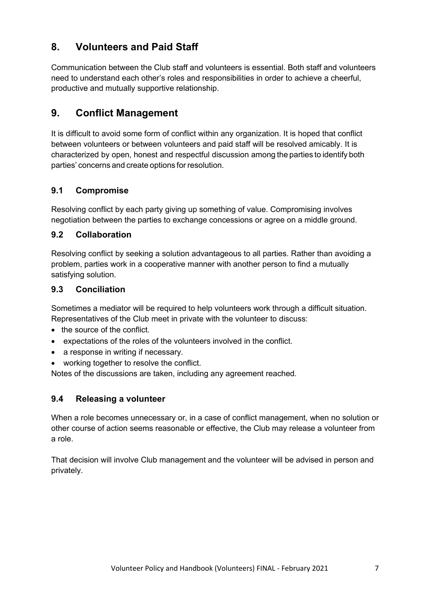# <span id="page-7-0"></span>**8. Volunteers and Paid Staff**

Communication between the Club staff and volunteers is essential. Both staff and volunteers need to understand each other's roles and responsibilities in order to achieve a cheerful, productive and mutually supportive relationship.

# <span id="page-7-1"></span>**9. Conflict Management**

It is difficult to avoid some form of conflict within any organization. It is hoped that conflict between volunteers or between volunteers and paid staff will be resolved amicably. It is characterized by open, honest and respectful discussion among the parties to identify both parties' concerns and create options forresolution.

# <span id="page-7-2"></span>**9.1 Compromise**

Resolving conflict by each party giving up something of value. Compromising involves negotiation between the parties to exchange concessions or agree on a middle ground.

## <span id="page-7-3"></span>**9.2 Collaboration**

Resolving conflict by seeking a solution advantageous to all parties. Rather than avoiding a problem, parties work in a cooperative manner with another person to find a mutually satisfying solution.

## <span id="page-7-4"></span>**9.3 Conciliation**

Sometimes a mediator will be required to help volunteers work through a difficult situation. Representatives of the Club meet in private with the volunteer to discuss:

- the source of the conflict.
- expectations of the roles of the volunteers involved in the conflict.
- a response in writing if necessary.
- working together to resolve the conflict.

Notes of the discussions are taken, including any agreement reached.

## <span id="page-7-5"></span>**9.4 Releasing a volunteer**

When a role becomes unnecessary or, in a case of conflict management, when no solution or other course of action seems reasonable or effective, the Club may release a volunteer from a role.

That decision will involve Club management and the volunteer will be advised in person and privately.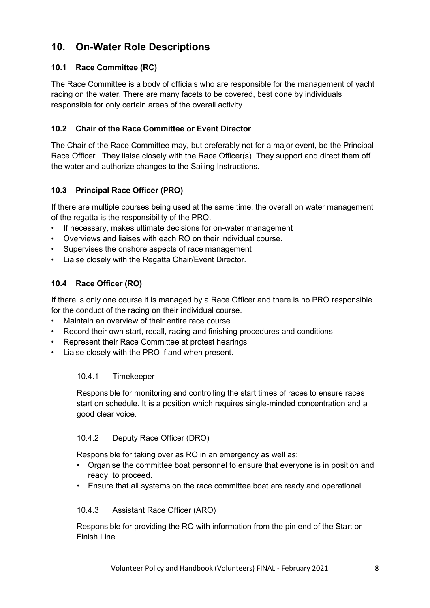# <span id="page-8-0"></span>**10. On-Water Role Descriptions**

# <span id="page-8-1"></span>**10.1 Race Committee (RC)**

The Race Committee is a body of officials who are responsible for the management of yacht racing on the water. There are many facets to be covered, best done by individuals responsible for only certain areas of the overall activity.

# <span id="page-8-2"></span>**10.2 Chair of the Race Committee or Event Director**

The Chair of the Race Committee may, but preferably not for a major event, be the Principal Race Officer. They liaise closely with the Race Officer(s). They support and direct them off the water and authorize changes to the Sailing Instructions.

## <span id="page-8-3"></span>**10.3 Principal Race Officer (PRO)**

If there are multiple courses being used at the same time, the overall on water management of the regatta is the responsibility of the PRO.

- If necessary, makes ultimate decisions for on-water management
- Overviews and liaises with each RO on their individual course.
- Supervises the onshore aspects of race management
- Liaise closely with the Regatta Chair/Event Director.

# <span id="page-8-4"></span>**10.4 Race Officer (RO)**

If there is only one course it is managed by a Race Officer and there is no PRO responsible for the conduct of the racing on their individual course.

- Maintain an overview of their entire race course.
- Record their own start, recall, racing and finishing procedures and conditions.
- Represent their Race Committee at protest hearings
- <span id="page-8-5"></span>Liaise closely with the PRO if and when present.

## 10.4.1 Timekeeper

Responsible for monitoring and controlling the start times of races to ensure races start on schedule. It is a position which requires single-minded concentration and a good clear voice.

## <span id="page-8-6"></span>10.4.2 Deputy Race Officer (DRO)

Responsible for taking over as RO in an emergency as well as:

- Organise the committee boat personnel to ensure that everyone is in position and ready to proceed.
- Ensure that all systems on the race committee boat are ready and operational.

#### <span id="page-8-7"></span>10.4.3 Assistant Race Officer (ARO)

Responsible for providing the RO with information from the pin end of the Start or Finish Line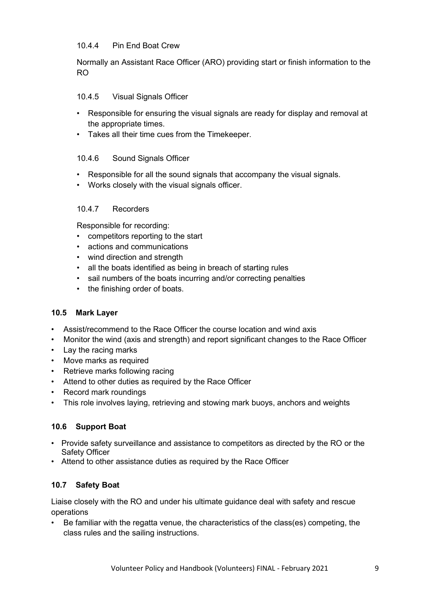#### <span id="page-9-0"></span>10.4.4 Pin End Boat Crew

Normally an Assistant Race Officer (ARO) providing start or finish information to the RO

#### <span id="page-9-1"></span>10.4.5 Visual Signals Officer

- Responsible for ensuring the visual signals are ready for display and removal at the appropriate times.
- Takes all their time cues from the Timekeeper.

#### <span id="page-9-2"></span>10.4.6 Sound Signals Officer

- Responsible for all the sound signals that accompany the visual signals.
- Works closely with the visual signals officer.

#### <span id="page-9-3"></span>10.4.7 Recorders

Responsible for recording:

- competitors reporting to the start
- actions and communications
- wind direction and strength
- all the boats identified as being in breach of starting rules
- sail numbers of the boats incurring and/or correcting penalties
- the finishing order of boats.

#### <span id="page-9-4"></span>**10.5 Mark Layer**

- Assist/recommend to the Race Officer the course location and wind axis
- Monitor the wind (axis and strength) and report significant changes to the Race Officer
- Lay the racing marks
- Move marks as required
- Retrieve marks following racing
- Attend to other duties as required by the Race Officer
- Record mark roundings
- This role involves laying, retrieving and stowing mark buoys, anchors and weights

## <span id="page-9-5"></span>**10.6 Support Boat**

- Provide safety surveillance and assistance to competitors as directed by the RO or the Safety Officer
- Attend to other assistance duties as required by the Race Officer

## <span id="page-9-6"></span>**10.7 Safety Boat**

Liaise closely with the RO and under his ultimate guidance deal with safety and rescue operations

• Be familiar with the regatta venue, the characteristics of the class(es) competing, the class rules and the sailing instructions.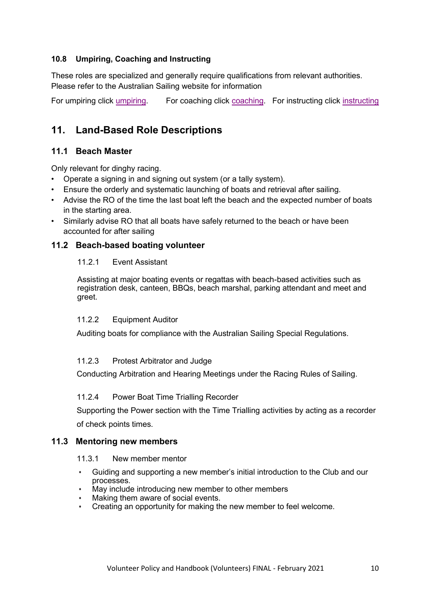## <span id="page-10-0"></span>**10.8 Umpiring, Coaching and Instructing**

These roles are specialized and generally require qualifications from relevant authorities. Please refer to the Australian Sailing website for information

For umpiring click [umpiring.](https://www.sailing.org.au/course-finder/49/) For coaching click [coaching.](https://www.sailingresources.org.au/training/coaches/) For [instructing](https://www.sailingresources.org.au/instructors/) click instructing

# <span id="page-10-1"></span>**11. Land-Based Role Descriptions**

## <span id="page-10-2"></span>**11.1 Beach Master**

Only relevant for dinghy racing.

- Operate a signing in and signing out system (or a tally system).
- Ensure the orderly and systematic launching of boats and retrieval after sailing.
- Advise the RO of the time the last boat left the beach and the expected number of boats in the starting area.
- Similarly advise RO that all boats have safely returned to the beach or have been accounted for after sailing

## <span id="page-10-3"></span>**11.2 Beach-based boating volunteer**

#### 11.2.1 Event Assistant

Assisting at major boating events or regattas with beach-based activities such as registration desk, canteen, BBQs, beach marshal, parking attendant and meet and greet.

#### 11.2.2 Equipment Auditor

Auditing boats for compliance with the Australian Sailing Special Regulations.

#### 11.2.3 Protest Arbitrator and Judge

Conducting Arbitration and Hearing Meetings under the Racing Rules of Sailing.

#### 11.2.4 Power Boat Time Trialling Recorder

Supporting the Power section with the Time Trialling activities by acting as a recorder of check points times.

#### <span id="page-10-4"></span>**11.3 Mentoring new members**

#### 11.3.1 New member mentor

- **•** Guiding and supporting a new member's initial introduction to the Club and our processes.
- **•** May include introducing new member to other members
- **•** Making them aware of social events.
- **•** Creating an opportunity for making the new member to feel welcome.